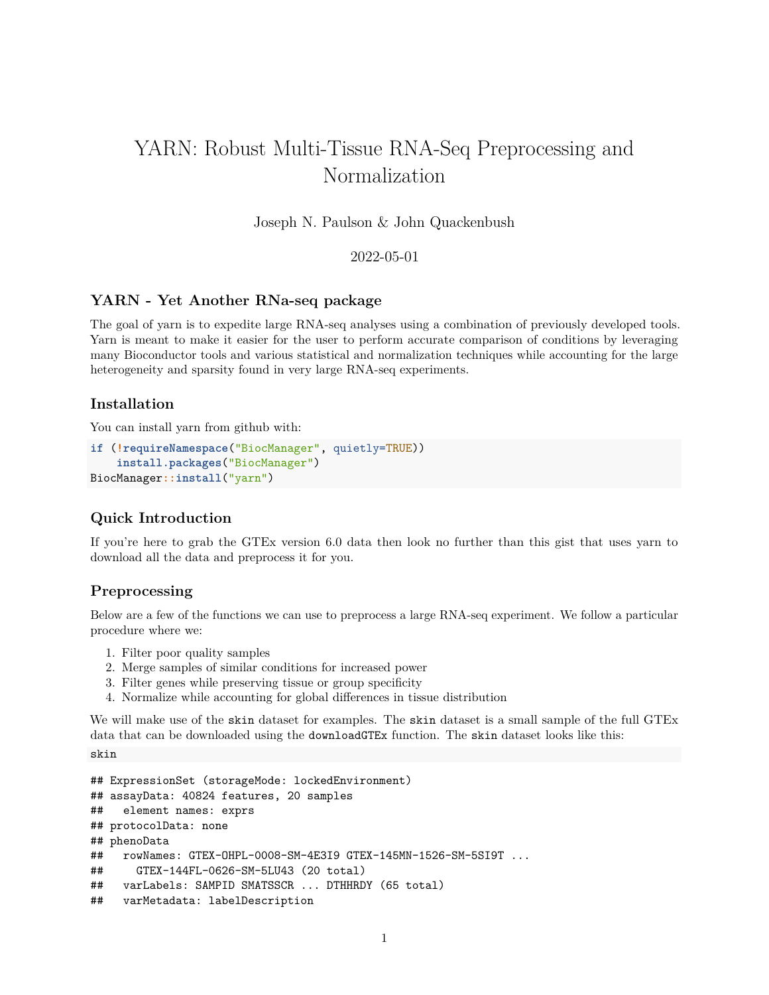# YARN: Robust Multi-Tissue RNA-Seq Preprocessing and Normalization

Joseph N. Paulson & John Quackenbush

2022-05-01

# **YARN - Yet Another RNa-seq package**

The goal of yarn is to expedite large RNA-seq analyses using a combination of previously developed tools. Yarn is meant to make it easier for the user to perform accurate comparison of conditions by leveraging many Bioconductor tools and various statistical and normalization techniques while accounting for the large heterogeneity and sparsity found in very large RNA-seq experiments.

#### **Installation**

You can install yarn from github with:

```
if (!requireNamespace("BiocManager", quietly=TRUE))
    install.packages("BiocManager")
BiocManager::install("yarn")
```
#### **Quick Introduction**

If you're here to grab the GTEx version 6.0 data then look no further than this [gist](https://gist.github.com/jnpaulson/8c2ccfb0185dc490ff72e51aef86678c) that uses yarn to download all the data and preprocess it for you.

#### **Preprocessing**

Below are a few of the functions we can use to preprocess a large RNA-seq experiment. We follow a particular procedure where we:

- 1. Filter poor quality samples
- 2. Merge samples of similar conditions for increased power
- 3. Filter genes while preserving tissue or group specificity
- 4. Normalize while accounting for global differences in tissue distribution

We will make use of the skin dataset for examples. The skin dataset is a small sample of the full GTEx data that can be downloaded using the **downloadGTEx** function. The **skin** dataset looks like this:

skin

```
## ExpressionSet (storageMode: lockedEnvironment)
## assayData: 40824 features, 20 samples
## element names: exprs
## protocolData: none
## phenoData
## rowNames: GTEX-OHPL-0008-SM-4E3I9 GTEX-145MN-1526-SM-5SI9T ...
## GTEX-144FL-0626-SM-5LU43 (20 total)
## varLabels: SAMPID SMATSSCR ... DTHHRDY (65 total)
## varMetadata: labelDescription
```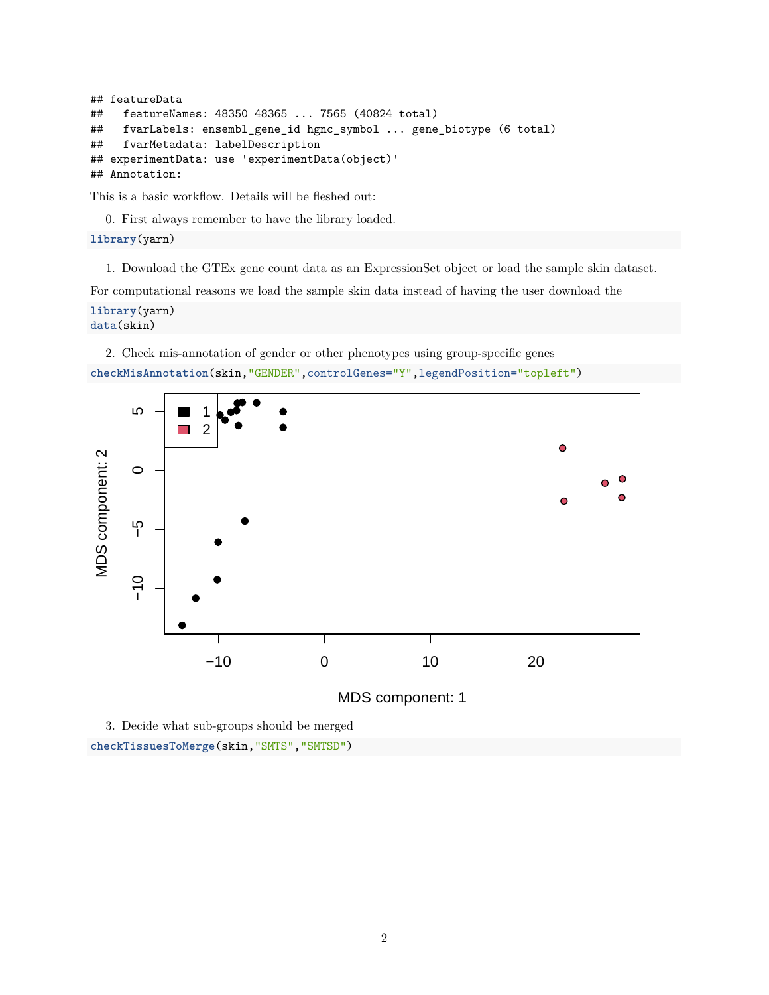```
## featureData
## featureNames: 48350 48365 ... 7565 (40824 total)
## fvarLabels: ensembl_gene_id hgnc_symbol ... gene_biotype (6 total)
## fvarMetadata: labelDescription
## experimentData: use 'experimentData(object)'
## Annotation:
```
This is a basic workflow. Details will be fleshed out:

0. First always remember to have the library loaded.

#### **library**(yarn)

1. Download the GTEx gene count data as an ExpressionSet object or load the sample skin dataset.

For computational reasons we load the sample skin data instead of having the user download the

```
library(yarn)
data(skin)
```
2. Check mis-annotation of gender or other phenotypes using group-specific genes **checkMisAnnotation**(skin,"GENDER",controlGenes="Y",legendPosition="topleft")



3. Decide what sub-groups should be merged

**checkTissuesToMerge**(skin,"SMTS","SMTSD")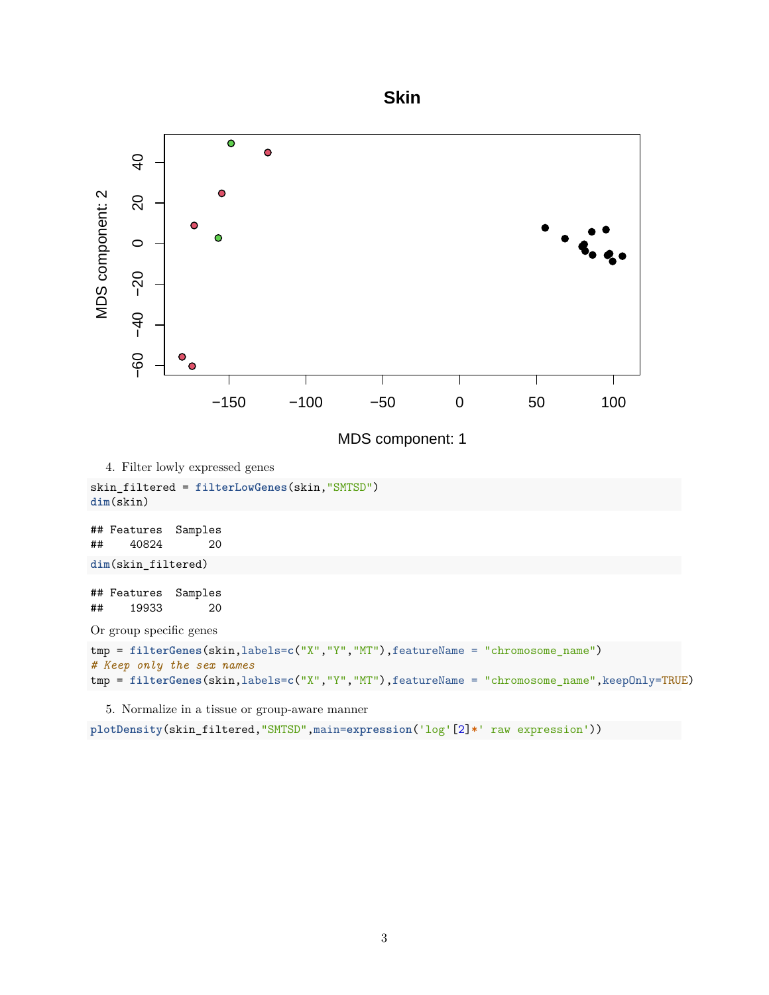



5. Normalize in a tissue or group-aware manner

**plotDensity**(skin\_filtered,"SMTSD",main=**expression**('log'[2]**\***' raw expression'))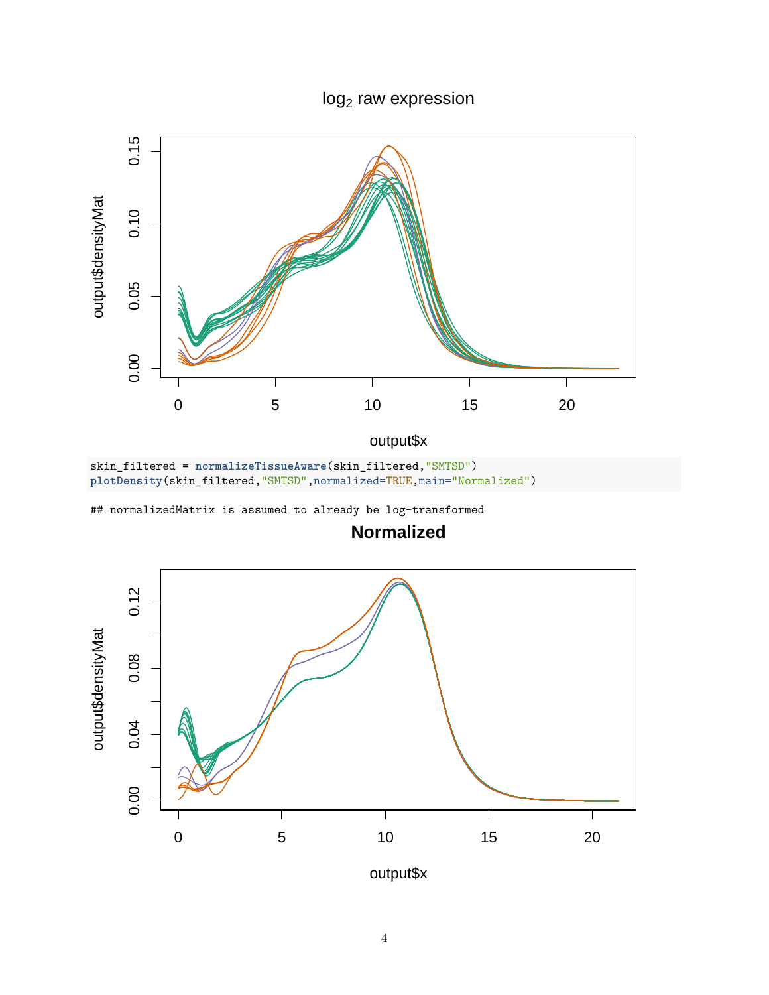$log<sub>2</sub>$  raw expression



output\$x

skin\_filtered = **normalizeTissueAware**(skin\_filtered,"SMTSD") **plotDensity**(skin\_filtered,"SMTSD",normalized=TRUE,main="Normalized")

## normalizedMatrix is assumed to already be log-transformed



**Normalized**

output\$x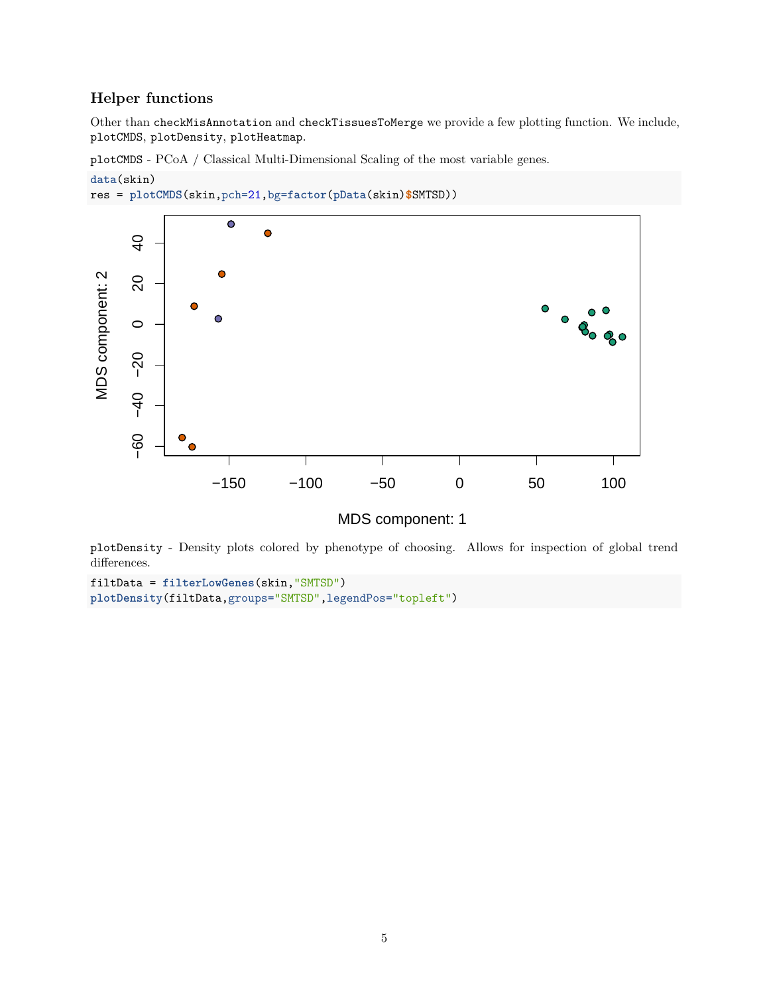### **Helper functions**

Other than checkMisAnnotation and checkTissuesToMerge we provide a few plotting function. We include, plotCMDS, plotDensity, plotHeatmap.

plotCMDS - PCoA / Classical Multi-Dimensional Scaling of the most variable genes.

**data**(skin)





# MDS component: 1

plotDensity - Density plots colored by phenotype of choosing. Allows for inspection of global trend differences.

filtData = **filterLowGenes**(skin,"SMTSD") **plotDensity**(filtData,groups="SMTSD",legendPos="topleft")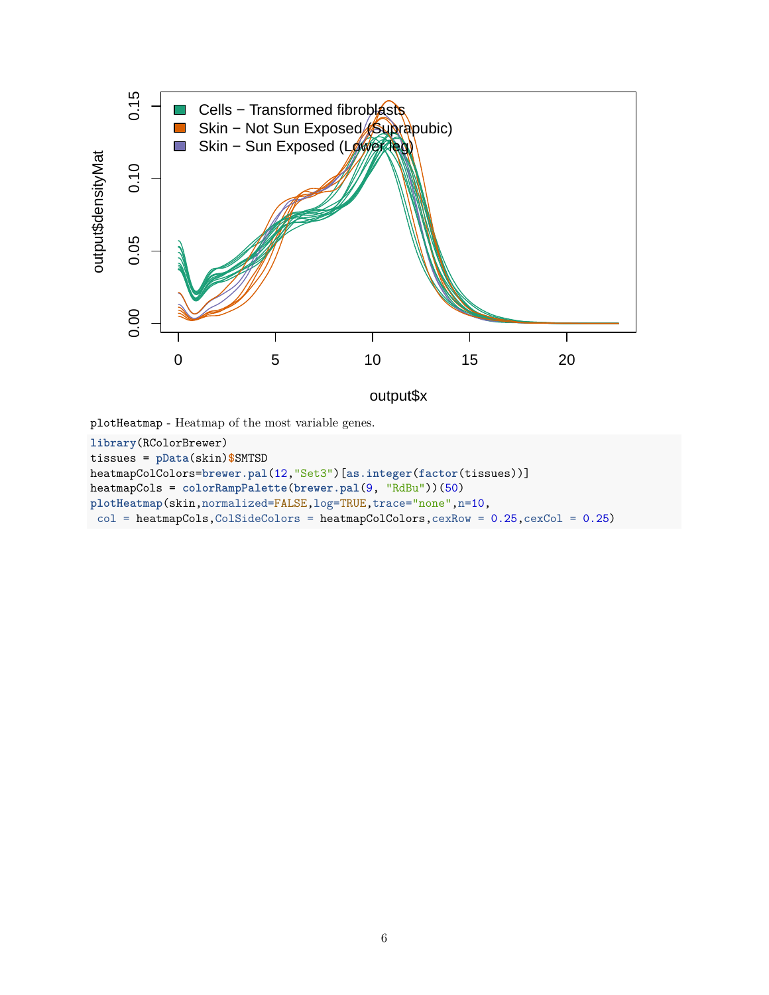

output\$x

plotHeatmap - Heatmap of the most variable genes.

```
library(RColorBrewer)
tissues = pData(skin)$SMTSD
heatmapColColors=brewer.pal(12,"Set3")[as.integer(factor(tissues))]
heatmapCols = colorRampPalette(brewer.pal(9, "RdBu"))(50)
plotHeatmap(skin,normalized=FALSE,log=TRUE,trace="none",n=10,
col = heatmapCols, ColSideColors = heatmapColColors, cexRow = 0.25, cexCol = 0.25)
```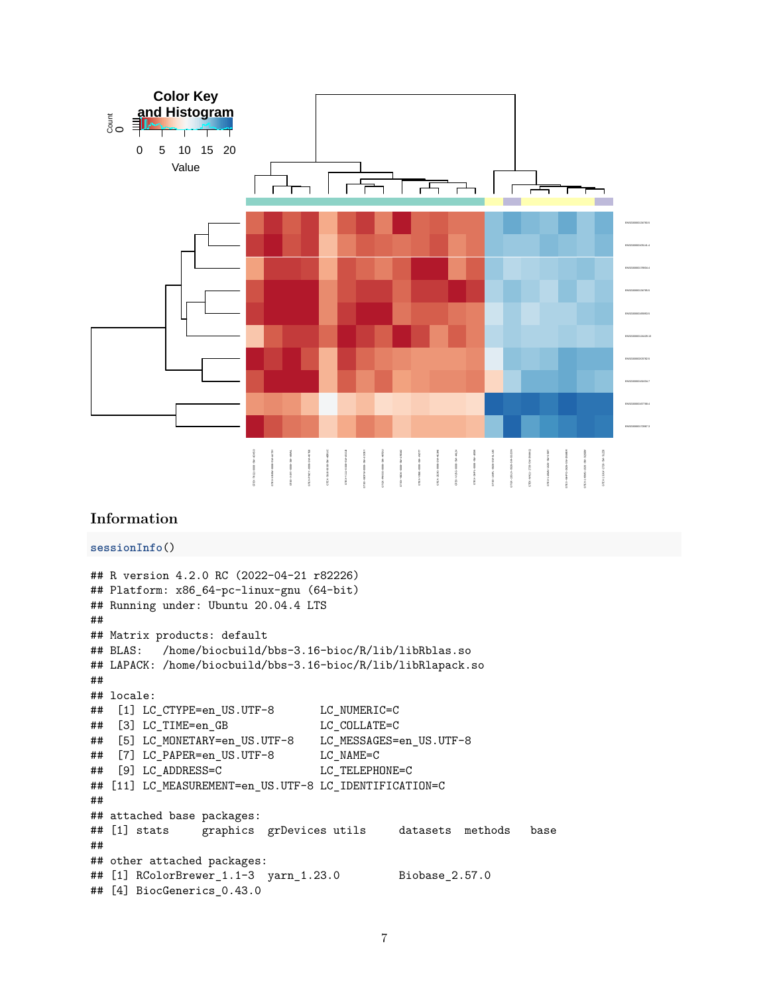

# **Information**

```
sessionInfo()
## R version 4.2.0 RC (2022-04-21 r82226)
## Platform: x86_64-pc-linux-gnu (64-bit)
## Running under: Ubuntu 20.04.4 LTS
##
## Matrix products: default
## BLAS: /home/biocbuild/bbs-3.16-bioc/R/lib/libRblas.so
## LAPACK: /home/biocbuild/bbs-3.16-bioc/R/lib/libRlapack.so
##
## locale:
## [1] LC_CTYPE=en_US.UTF-8 LC_NUMERIC=C
## [3] LC_TIME=en_GB LC_COLLATE=C
## [5] LC_MONETARY=en_US.UTF-8 LC_MESSAGES=en_US.UTF-8
## [7] LC PAPER=en US.UTF-8 LC NAME=C
## [9] LC_ADDRESS=C LC_TELEPHONE=C
## [11] LC_MEASUREMENT=en_US.UTF-8 LC_IDENTIFICATION=C
##
## attached base packages:
## [1] stats graphics grDevices utils datasets methods base
##
## other attached packages:
## [1] RColorBrewer_1.1-3 yarn_1.23.0 Biobase_2.57.0
## [4] BiocGenerics_0.43.0
```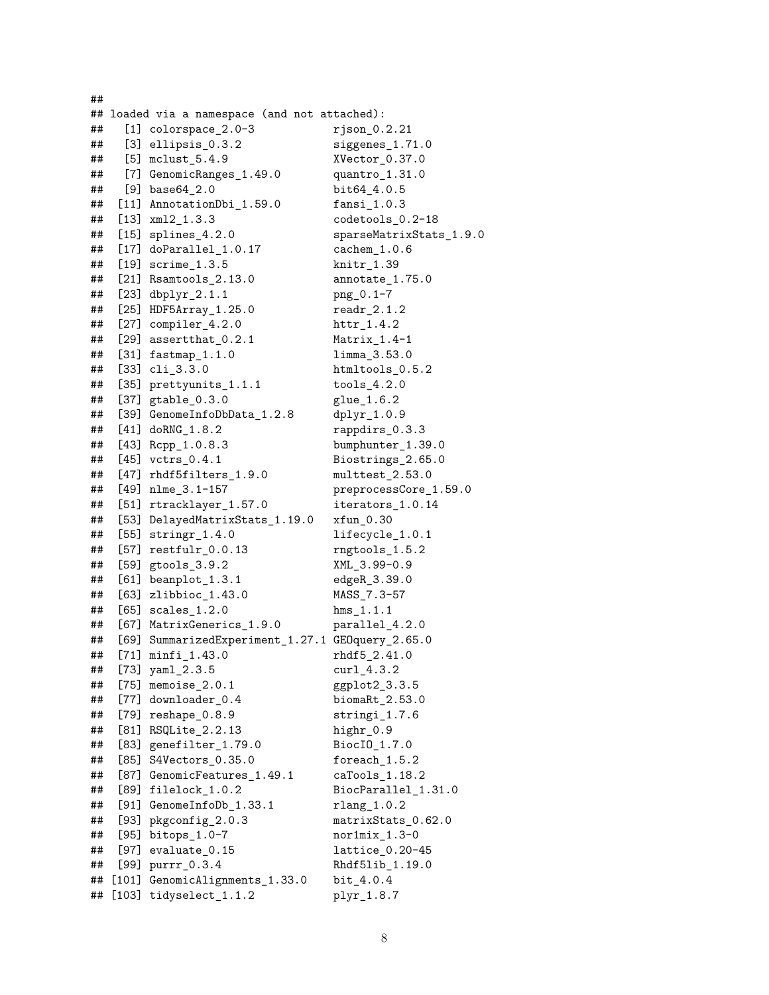| ##       |                                                  |                                       |
|----------|--------------------------------------------------|---------------------------------------|
| ##       | loaded via a namespace (and not attached):       |                                       |
| ##       | [1] colorspace_2.0-3                             | $rjson_0.2.21$                        |
| ##       | $[3]$ ellipsis $_0.3.2$                          | siggenes_1.71.0                       |
| ##       | [5] $mclust_5.4.9$                               | XVector_0.37.0                        |
| ##       | [7] GenomicRanges_1.49.0                         | quantro_1.31.0                        |
| ##       | $[9]$ base $64$ $2.0$                            | bit64_4.0.5                           |
| ##       | [11] AnnotationDbi_1.59.0                        | $fansi_1.0.3$                         |
| ##       | $[13]$ $xml2_1.3.3$                              | codetools_0.2-18                      |
| ##       | [15] $splines_4.2.0$                             | sparseMatrixStats_1.9.0               |
| ##       | [17] $doParallel_1.0.17$                         | $cachem_1.0.6$                        |
| ##       | $[19]$ scrime_1.3.5                              | $knitr_1.39$                          |
| ##       | [21] $Rsamtools_2.13.0$                          | $annotate_1.75.0$                     |
| ##       | $[23]$ dbplyr $_2.1.1$                           | $png_0.1-7$                           |
| ##       | [25] HDF5Array_1.25.0                            | $readr_2.1.2$                         |
| ##       | $[27]$ compiler_4.2.0                            |                                       |
| ##       | $[29]$ assertthat $0.2.1$                        | $Matrix_1.4-1$                        |
| ##       | [31] $fastmap_1.1.0$                             | limma_3.53.0                          |
| ##       | $[33]$ $cli_3.3.0$                               | htmltools_0.5.2                       |
| ##       | [35] prettyunits_1.1.1                           | $tools_4.2.0$                         |
| ##       | $[37]$ gtable $_0.3.0$                           | glue_1.6.2                            |
| ##<br>## | [39] GenomeInfoDbData_1.2.8                      | $dplyr_1.0.9$                         |
| ##       | $[41]$ doRNG $_1.8.2$<br>$[43]$ Rcpp_1.0.8.3     | rappdirs_0.3.3<br>$bumphunter_1.39.0$ |
| ##       | $[45]$ vctrs $_0.4.1$                            | Biostrings_2.65.0                     |
| ##       | [47] rhdf5filters_1.9.0                          | multtest_2.53.0                       |
| ##       | $[49]$ nlme_3.1-157                              | preprocessCore_1.59.0                 |
| ##       | [51] rtracklayer_1.57.0                          | iterators_1.0.14                      |
| ##       | [53] DelayedMatrixStats_1.19.0                   | $xfun_0.30$                           |
| ##       | [55] $stringr_1.4.0$                             | lifecycle_1.0.1                       |
| ##       | $[57]$ restfulr_0.0.13                           | rngtools_1.5.2                        |
| ##       | [59] gtools_3.9.2                                | XML_3.99-0.9                          |
| ##       | $[61]$ beanplot_1.3.1                            | edgeR_3.39.0                          |
| ##       | $[63]$ zlibbioc_1.43.0                           | MASS_7.3-57                           |
| ##       | $[65]$ scales $1.2.0$                            | $hms_1.1.1$                           |
| ##       | [67] MatrixGenerics_1.9.0                        | parallel_4.2.0                        |
| ##       | [69] SummarizedExperiment_1.27.1 GEOquery_2.65.0 |                                       |
| ##       | $[71]$ $minf_{1.43.0}$ $rndf_{5.2.41.0}$         |                                       |
| ##       | $[73]$ $yam1_2.3.5$                              | $curl_4.3.2$                          |
| ##       | [75] $menoise_2.0.1$                             | ggplot2_3.3.5                         |
| ##       | [77] downloader_0.4                              | $binomRt_2.53.0$                      |
| ##       | [79] $reshape_0.8.9$                             | $stringi_1.7.6$                       |
| ##       | [81] RSQLite_2.2.13                              | highr_0.9                             |
| ##       | [83] $genefilter_1.79.0$                         | BiocIO_1.7.0                          |
| ##       | [85] S4Vectors 0.35.0                            | $foreach_1.5.2$                       |
| ##       | [87] GenomicFeatures_1.49.1                      | $caTools_1.18.2$                      |
| ##       | [89] $filelock_1.0.2$                            | BiocParallel_1.31.0                   |
| ##       | [91] GenomeInfoDb_1.33.1                         | $rlang_1.0.2$                         |
| ##       | [93] $pkgconfig_2.0.3$                           | matrixStats_0.62.0                    |
| ##       | [95] bitops_1.0-7                                | nor1mix_1.3-0                         |
| ##       | $[97]$ evaluate $_0.15$                          | lattice_0.20-45                       |
| ##       | [99] purrr_0.3.4                                 | Rhdf5lib_1.19.0                       |
| ##       | [101] GenomicAlignments_1.33.0                   | bit_4.0.4                             |
| ##       | $[103]$ tidyselect_1.1.2                         | plyr_1.8.7                            |